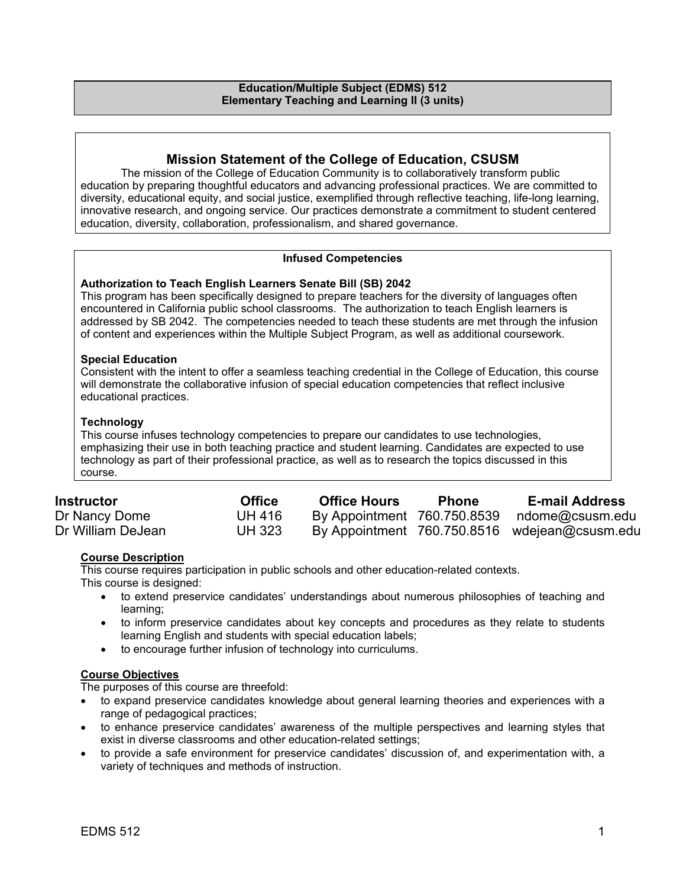#### **Education/Multiple Subject (EDMS) 512 Elementary Teaching and Learning II (3 units)**

## **Mission Statement of the College of Education, CSUSM**

The mission of the College of Education Community is to collaboratively transform public education by preparing thoughtful educators and advancing professional practices. We are committed to diversity, educational equity, and social justice, exemplified through reflective teaching, life-long learning, innovative research, and ongoing service. Our practices demonstrate a commitment to student centered education, diversity, collaboration, professionalism, and shared governance.

## **Infused Competencies**

## **Authorization to Teach English Learners Senate Bill (SB) 2042**

This program has been specifically designed to prepare teachers for the diversity of languages often encountered in California public school classrooms. The authorization to teach English learners is addressed by SB 2042. The competencies needed to teach these students are met through the infusion of content and experiences within the Multiple Subject Program, as well as additional coursework.

#### **Special Education**

Consistent with the intent to offer a seamless teaching credential in the College of Education, this course will demonstrate the collaborative infusion of special education competencies that reflect inclusive educational practices.

## **Technology**

This course infuses technology competencies to prepare our candidates to use technologies, emphasizing their use in both teaching practice and student learning. Candidates are expected to use technology as part of their professional practice, as well as to research the topics discussed in this course.

| <b>Instructor</b> | <b>Office</b> | <b>Office Hours</b>         | <b>Phone</b> | <b>E-mail Address</b>                         |
|-------------------|---------------|-----------------------------|--------------|-----------------------------------------------|
| Dr Nancy Dome     | <b>UH 416</b> | By Appointment 760.750.8539 |              | ndome@csusm.edu                               |
| Dr William DeJean | <b>UH 323</b> |                             |              | By Appointment 760.750.8516 wdejean@csusm.edu |
|                   |               |                             |              |                                               |

## **Course Description**

This course requires participation in public schools and other education-related contexts. This course is designed:

- to extend preservice candidates' understandings about numerous philosophies of teaching and learning;
- to inform preservice candidates about key concepts and procedures as they relate to students learning English and students with special education labels;
- to encourage further infusion of technology into curriculums.

## **Course Objectives**

The purposes of this course are threefold:

- to expand preservice candidates knowledge about general learning theories and experiences with a range of pedagogical practices;
- to enhance preservice candidates' awareness of the multiple perspectives and learning styles that exist in diverse classrooms and other education-related settings;
- to provide a safe environment for preservice candidates' discussion of, and experimentation with, a variety of techniques and methods of instruction.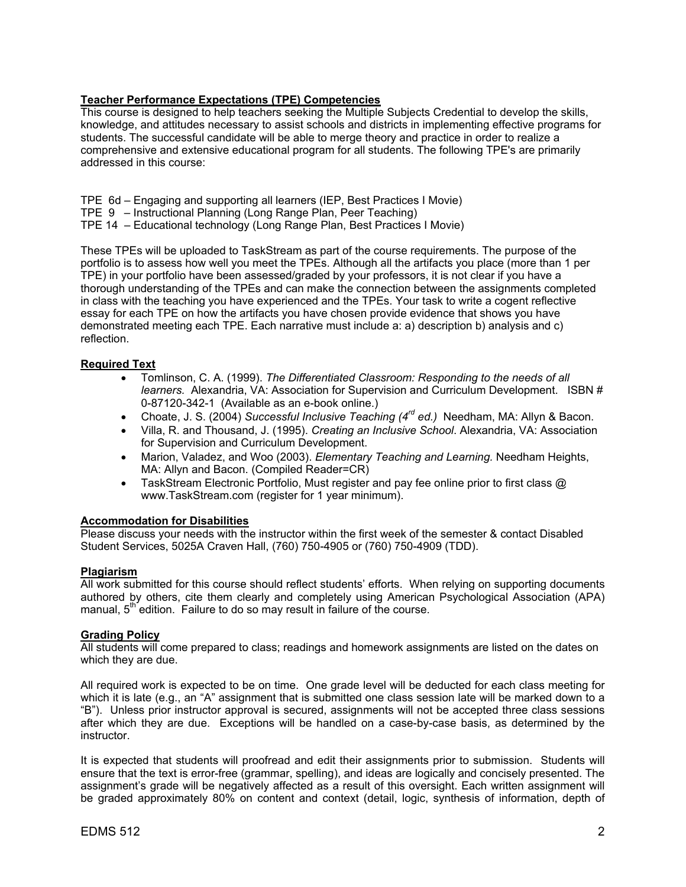## **Teacher Performance Expectations (TPE) Competencies**

This course is designed to help teachers seeking the Multiple Subjects Credential to develop the skills, knowledge, and attitudes necessary to assist schools and districts in implementing effective programs for students. The successful candidate will be able to merge theory and practice in order to realize a comprehensive and extensive educational program for all students. The following TPE's are primarily addressed in this course:

TPE 6d – Engaging and supporting all learners (IEP, Best Practices I Movie)

TPE 9 – Instructional Planning (Long Range Plan, Peer Teaching)

TPE 14 – Educational technology (Long Range Plan, Best Practices I Movie)

These TPEs will be uploaded to TaskStream as part of the course requirements. The purpose of the portfolio is to assess how well you meet the TPEs. Although all the artifacts you place (more than 1 per TPE) in your portfolio have been assessed/graded by your professors, it is not clear if you have a thorough understanding of the TPEs and can make the connection between the assignments completed in class with the teaching you have experienced and the TPEs. Your task to write a cogent reflective essay for each TPE on how the artifacts you have chosen provide evidence that shows you have demonstrated meeting each TPE. Each narrative must include a: a) description b) analysis and c) reflection.

## **Required Text**

- Tomlinson, C. A. (1999). *The Differentiated Classroom: Responding to the needs of all learners.* Alexandria, VA: Association for Supervision and Curriculum Development. ISBN # 0-87120-342-1 (Available as an e-book online.)
- Choate, J. S. (2004) *Successful Inclusive Teaching (4rd ed.)* Needham, MA: Allyn & Bacon.
- Villa, R. and Thousand, J. (1995). *Creating an Inclusive School*. Alexandria, VA: Association for Supervision and Curriculum Development.
- Marion, Valadez, and Woo (2003). *Elementary Teaching and Learning.* Needham Heights, MA: Allyn and Bacon. (Compiled Reader=CR)
- TaskStream Electronic Portfolio, Must register and pay fee online prior to first class  $\omega$ www.TaskStream.com (register for 1 year minimum).

## **Accommodation for Disabilities**

Please discuss your needs with the instructor within the first week of the semester & contact Disabled Student Services, 5025A Craven Hall, (760) 750-4905 or (760) 750-4909 (TDD).

#### **Plagiarism**

All work submitted for this course should reflect students' efforts. When relying on supporting documents authored by others, cite them clearly and completely using American Psychological Association (APA) manual,  $5<sup>th</sup>$  edition. Failure to do so may result in failure of the course.

#### **Grading Policy**

All students will come prepared to class; readings and homework assignments are listed on the dates on which they are due.

All required work is expected to be on time. One grade level will be deducted for each class meeting for which it is late (e.g., an "A" assignment that is submitted one class session late will be marked down to a "B"). Unless prior instructor approval is secured, assignments will not be accepted three class sessions after which they are due. Exceptions will be handled on a case-by-case basis, as determined by the instructor.

It is expected that students will proofread and edit their assignments prior to submission. Students will ensure that the text is error-free (grammar, spelling), and ideas are logically and concisely presented. The assignment's grade will be negatively affected as a result of this oversight. Each written assignment will be graded approximately 80% on content and context (detail, logic, synthesis of information, depth of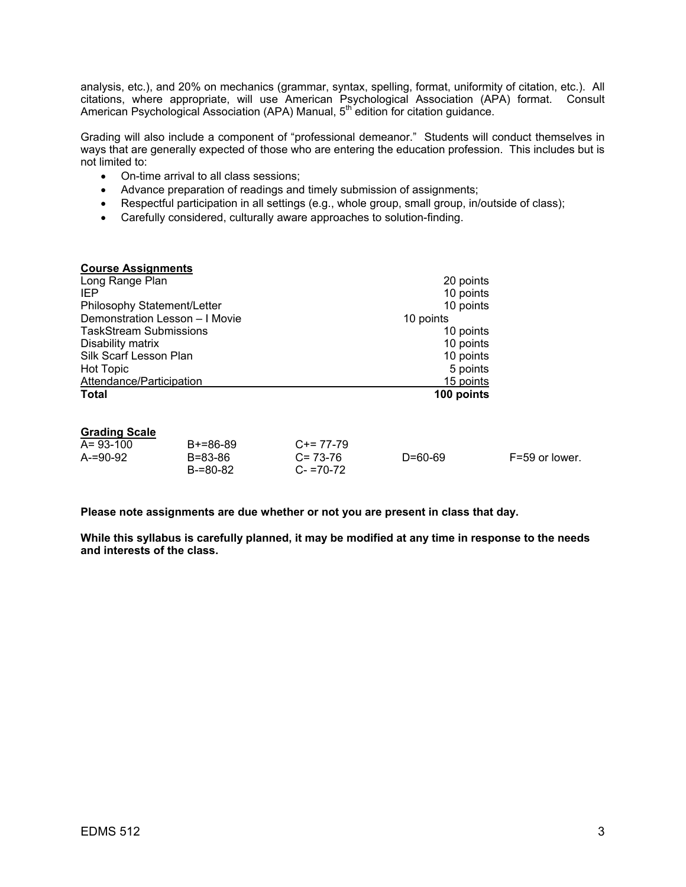analysis, etc.), and 20% on mechanics (grammar, syntax, spelling, format, uniformity of citation, etc.). All citations, where appropriate, will use American Psychological Association (APA) format. Consult American Psychological Association (APA) Manual, 5<sup>th</sup> edition for citation guidance.

Grading will also include a component of "professional demeanor." Students will conduct themselves in ways that are generally expected of those who are entering the education profession. This includes but is not limited to:

- On-time arrival to all class sessions;
- Advance preparation of readings and timely submission of assignments;
- Respectful participation in all settings (e.g., whole group, small group, in/outside of class);
- Carefully considered, culturally aware approaches to solution-finding.

| <b>Course Assignments</b>      |            |
|--------------------------------|------------|
| Long Range Plan                | 20 points  |
| IEP                            | 10 points  |
| Philosophy Statement/Letter    | 10 points  |
| Demonstration Lesson - I Movie | 10 points  |
| <b>TaskStream Submissions</b>  | 10 points  |
| Disability matrix              | 10 points  |
| Silk Scarf Lesson Plan         | 10 points  |
| <b>Hot Topic</b>               | 5 points   |
| Attendance/Participation       | 15 points  |
| <b>Total</b>                   | 100 points |

#### **Grading Scale**

| $A = 93 - 100$ | B+=86-89 | $C+= 77-79$   |               |                |
|----------------|----------|---------------|---------------|----------------|
| $A = 90 - 92$  | B=83-86  | $C = 73-76$   | $D = 60 - 69$ | F=59 or lower. |
|                | B-=80-82 | $C - 70 - 72$ |               |                |

**Please note assignments are due whether or not you are present in class that day.** 

**While this syllabus is carefully planned, it may be modified at any time in response to the needs and interests of the class.**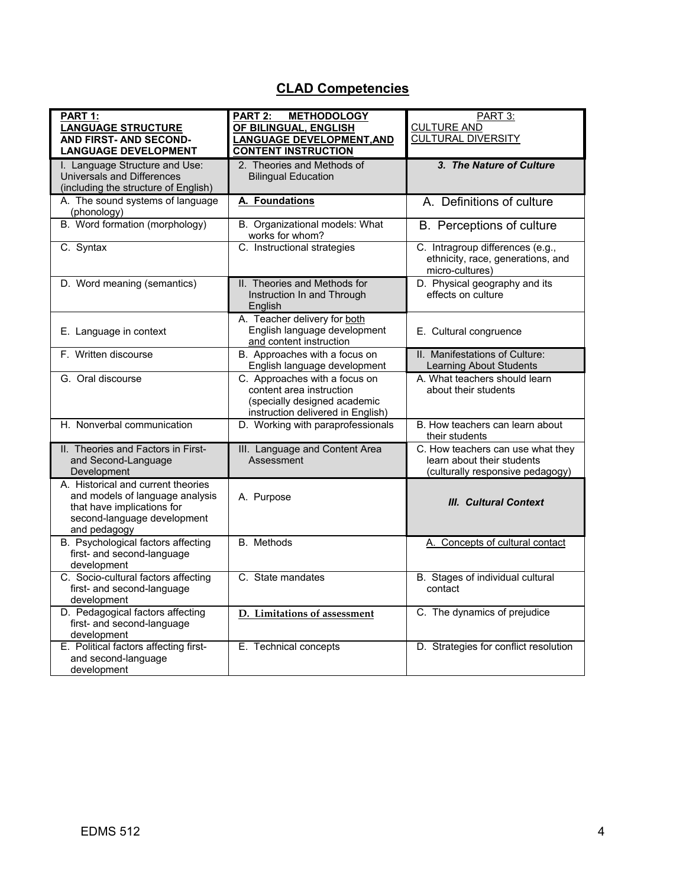# **CLAD Competencies**

| PART 1:<br><b>LANGUAGE STRUCTURE</b><br><b>AND FIRST- AND SECOND-</b><br><b>LANGUAGE DEVELOPMENT</b>                                               | <b>METHODOLOGY</b><br><b>PART 2:</b><br>OF BILINGUAL, ENGLISH<br><b>LANGUAGE DEVELOPMENT, AND</b><br><b>CONTENT INSTRUCTION</b> | PART 3:<br><b>CULTURE AND</b><br><b>CULTURAL DIVERSITY</b>                                          |
|----------------------------------------------------------------------------------------------------------------------------------------------------|---------------------------------------------------------------------------------------------------------------------------------|-----------------------------------------------------------------------------------------------------|
| I. Language Structure and Use:<br>Universals and Differences<br>(including the structure of English)                                               | 2. Theories and Methods of<br><b>Bilingual Education</b>                                                                        | 3. The Nature of Culture                                                                            |
| A. The sound systems of language<br>(phonology)                                                                                                    | A. Foundations                                                                                                                  | A. Definitions of culture                                                                           |
| B. Word formation (morphology)                                                                                                                     | B. Organizational models: What<br>works for whom?                                                                               | B. Perceptions of culture                                                                           |
| C. Syntax                                                                                                                                          | C. Instructional strategies                                                                                                     | C. Intragroup differences (e.g.,<br>ethnicity, race, generations, and<br>micro-cultures)            |
| D. Word meaning (semantics)                                                                                                                        | II. Theories and Methods for<br>Instruction In and Through<br>English                                                           | D. Physical geography and its<br>effects on culture                                                 |
| E. Language in context                                                                                                                             | A. Teacher delivery for both<br>English language development<br>and content instruction                                         | E. Cultural congruence                                                                              |
| F. Written discourse                                                                                                                               | B. Approaches with a focus on<br>English language development                                                                   | II. Manifestations of Culture:<br><b>Learning About Students</b>                                    |
| G. Oral discourse                                                                                                                                  | C. Approaches with a focus on<br>content area instruction<br>(specially designed academic<br>instruction delivered in English)  | A. What teachers should learn<br>about their students                                               |
| H. Nonverbal communication                                                                                                                         | D. Working with paraprofessionals                                                                                               | B. How teachers can learn about<br>their students                                                   |
| II. Theories and Factors in First-<br>and Second-Language<br>Development                                                                           | III. Language and Content Area<br>Assessment                                                                                    | C. How teachers can use what they<br>learn about their students<br>(culturally responsive pedagogy) |
| A. Historical and current theories<br>and models of language analysis<br>that have implications for<br>second-language development<br>and pedagogy | A. Purpose                                                                                                                      | <b>III. Cultural Context</b>                                                                        |
| B. Psychological factors affecting<br>first- and second-language<br>development                                                                    | B. Methods                                                                                                                      | A. Concepts of cultural contact                                                                     |
| C. Socio-cultural factors affecting<br>first- and second-language<br>development                                                                   | C. State mandates                                                                                                               | B. Stages of individual cultural<br>contact                                                         |
| D. Pedagogical factors affecting<br>first- and second-language<br>development                                                                      | D. Limitations of assessment                                                                                                    | C. The dynamics of prejudice                                                                        |
| E. Political factors affecting first-<br>and second-language<br>development                                                                        | E. Technical concepts                                                                                                           | D. Strategies for conflict resolution                                                               |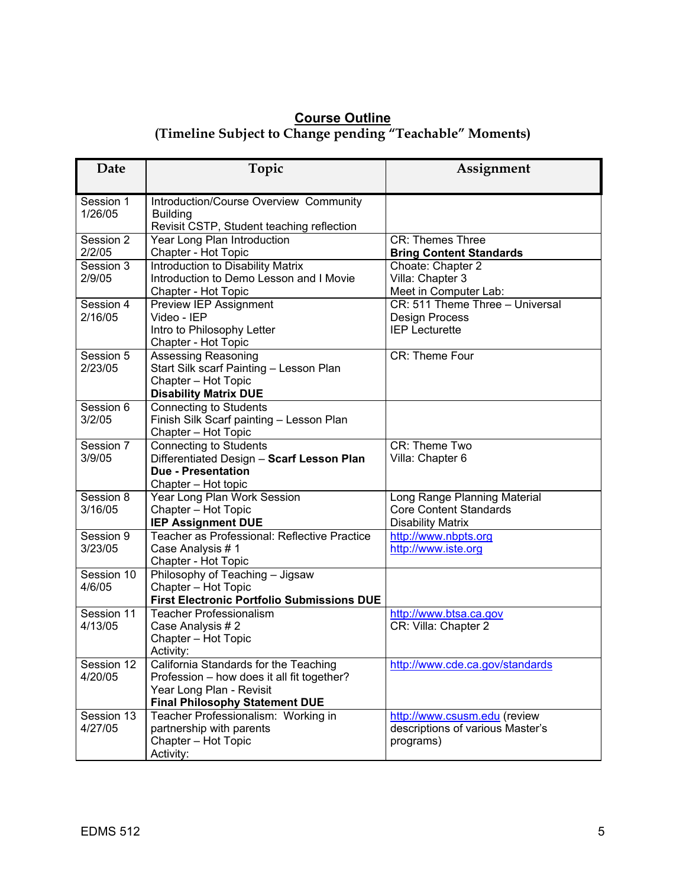## **Course Outline (Timeline Subject to Change pending "Teachable" Moments)**

| Date                  | Topic                                                                                                                                                    | Assignment                                                                                |
|-----------------------|----------------------------------------------------------------------------------------------------------------------------------------------------------|-------------------------------------------------------------------------------------------|
| Session 1<br>1/26/05  | Introduction/Course Overview Community<br><b>Building</b><br>Revisit CSTP, Student teaching reflection                                                   |                                                                                           |
| Session 2<br>2/2/05   | Year Long Plan Introduction<br>Chapter - Hot Topic                                                                                                       | <b>CR: Themes Three</b><br><b>Bring Content Standards</b>                                 |
| Session 3<br>2/9/05   | Introduction to Disability Matrix<br>Introduction to Demo Lesson and I Movie<br>Chapter - Hot Topic                                                      | Choate: Chapter 2<br>Villa: Chapter 3<br>Meet in Computer Lab:                            |
| Session 4<br>2/16/05  | Preview IEP Assignment<br>Video - IEP<br>Intro to Philosophy Letter<br>Chapter - Hot Topic                                                               | CR: 511 Theme Three - Universal<br>Design Process<br><b>IEP Lecturette</b>                |
| Session 5<br>2/23/05  | Assessing Reasoning<br>Start Silk scarf Painting - Lesson Plan<br>Chapter - Hot Topic<br><b>Disability Matrix DUE</b>                                    | CR: Theme Four                                                                            |
| Session 6<br>3/2/05   | <b>Connecting to Students</b><br>Finish Silk Scarf painting - Lesson Plan<br>Chapter - Hot Topic                                                         |                                                                                           |
| Session 7<br>3/9/05   | <b>Connecting to Students</b><br>Differentiated Design - Scarf Lesson Plan<br><b>Due - Presentation</b><br>Chapter - Hot topic                           | <b>CR: Theme Two</b><br>Villa: Chapter 6                                                  |
| Session 8<br>3/16/05  | Year Long Plan Work Session<br>Chapter - Hot Topic<br><b>IEP Assignment DUE</b>                                                                          | Long Range Planning Material<br><b>Core Content Standards</b><br><b>Disability Matrix</b> |
| Session 9<br>3/23/05  | Teacher as Professional: Reflective Practice<br>Case Analysis #1<br>Chapter - Hot Topic                                                                  | http://www.nbpts.org<br>http://www.iste.org                                               |
| Session 10<br>4/6/05  | Philosophy of Teaching - Jigsaw<br>Chapter - Hot Topic<br><b>First Electronic Portfolio Submissions DUE</b>                                              |                                                                                           |
| Session 11<br>4/13/05 | <b>Teacher Professionalism</b><br>Case Analysis #2<br>Chapter - Hot Topic<br>Activity:                                                                   | http://www.btsa.ca.gov<br>CR: Villa: Chapter 2                                            |
| Session 12<br>4/20/05 | California Standards for the Teaching<br>Profession - how does it all fit together?<br>Year Long Plan - Revisit<br><b>Final Philosophy Statement DUE</b> | http://www.cde.ca.gov/standards                                                           |
| Session 13<br>4/27/05 | Teacher Professionalism: Working in<br>partnership with parents<br>Chapter - Hot Topic<br>Activity:                                                      | http://www.csusm.edu (review<br>descriptions of various Master's<br>programs)             |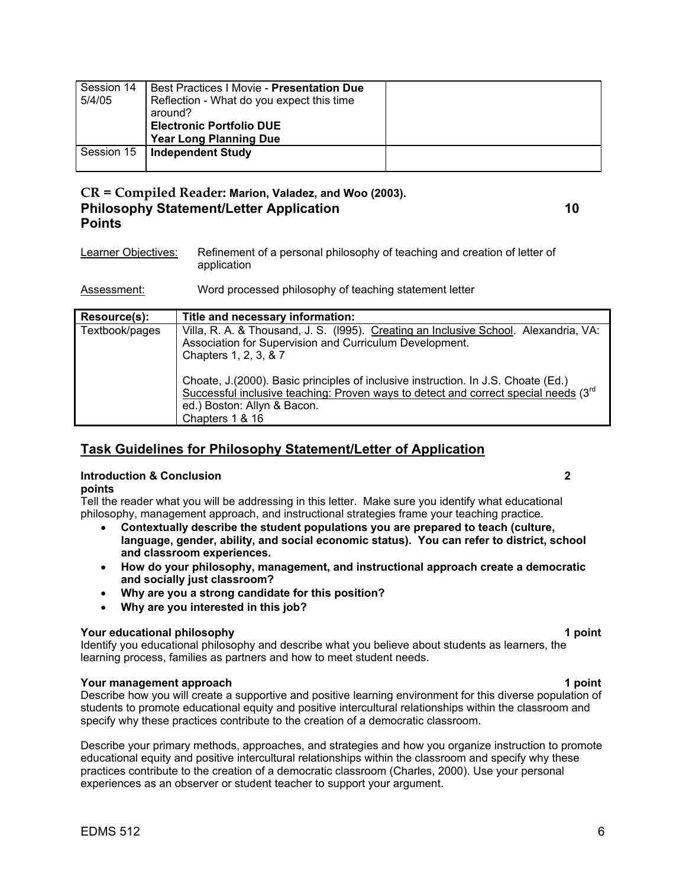| Session 14 | Best Practices   Movie - Presentation Due |  |
|------------|-------------------------------------------|--|
| 5/4/05     | Reflection - What do you expect this time |  |
|            | around?                                   |  |
|            | <b>Electronic Portfolio DUE</b>           |  |
|            | <b>Year Long Planning Due</b>             |  |
| Session 15 | <b>Independent Study</b>                  |  |
|            |                                           |  |

## **CR = Compiled Reader: Marion, Valadez, and Woo (2003). Philosophy Statement/Letter Application 10 Points**

Learner Objectives: Refinement of a personal philosophy of teaching and creation of letter of application

Assessment: Word processed philosophy of teaching statement letter

| <b>Resource(s):</b> | Title and necessary information:                                                                                                                                                                                                         |
|---------------------|------------------------------------------------------------------------------------------------------------------------------------------------------------------------------------------------------------------------------------------|
| Textbook/pages      | Villa, R. A. & Thousand, J. S. (1995). Creating an Inclusive School. Alexandria, VA:<br>Association for Supervision and Curriculum Development.<br>Chapters 1, 2, 3, & 7                                                                 |
|                     | Choate, J.(2000). Basic principles of inclusive instruction. In J.S. Choate (Ed.)<br>Successful inclusive teaching: Proven ways to detect and correct special needs (3 <sup>rd</sup> )<br>ed.) Boston: Allyn & Bacon.<br>Chapters 1 & 16 |

## **Task Guidelines for Philosophy Statement/Letter of Application**

#### **Introduction & Conclusion 2 points**

Tell the reader what you will be addressing in this letter. Make sure you identify what educational philosophy, management approach, and instructional strategies frame your teaching practice.

- **Contextually describe the student populations you are prepared to teach (culture, language, gender, ability, and social economic status). You can refer to district, school and classroom experiences.**
- **How do your philosophy, management, and instructional approach create a democratic and socially just classroom?**
- **Why are you a strong candidate for this position?**
- **Why are you interested in this job?**

## **Your educational philosophy 1 point**

Identify you educational philosophy and describe what you believe about students as learners, the learning process, families as partners and how to meet student needs.

## **Your management approach 1 point 1 point 1 point 1 point**

Describe how you will create a supportive and positive learning environment for this diverse population of students to promote educational equity and positive intercultural relationships within the classroom and specify why these practices contribute to the creation of a democratic classroom.

Describe your primary methods, approaches, and strategies and how you organize instruction to promote educational equity and positive intercultural relationships within the classroom and specify why these practices contribute to the creation of a democratic classroom (Charles, 2000). Use your personal experiences as an observer or student teacher to support your argument.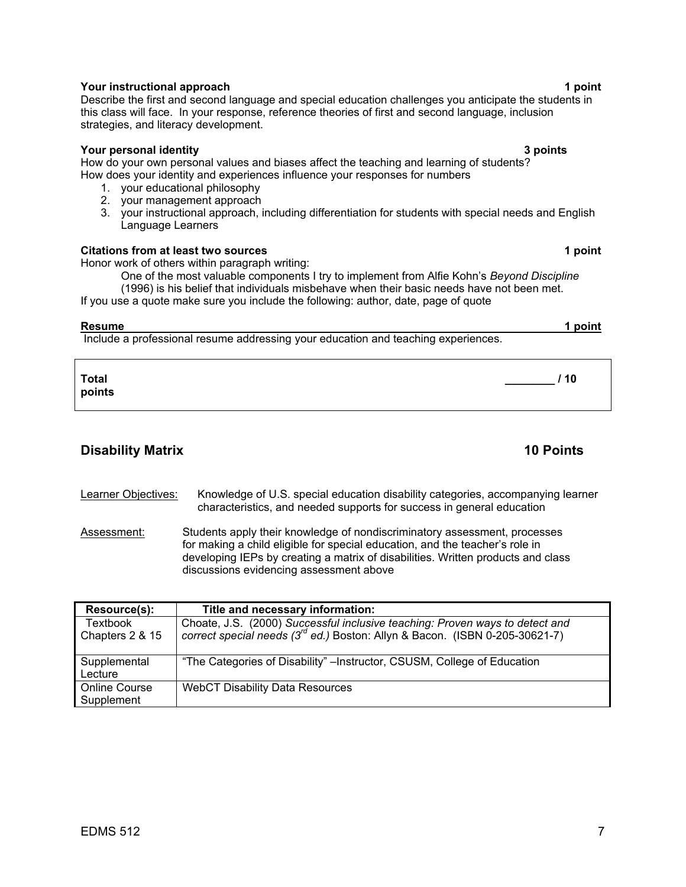## **The Vour instructional approach 1 point 1 point 1 point 1 point 1 point 1 point 1 point 1 point 1 point 1 point**

## Describe the first and second language and special education challenges you anticipate the students in this class will face. In your response, reference theories of first and second language, inclusion strategies, and literacy development.

## **Your personal identity 3 points**

How do your own personal values and biases affect the teaching and learning of students? How does your identity and experiences influence your responses for numbers

- 1. your educational philosophy
- 2. your management approach
- 3. your instructional approach, including differentiation for students with special needs and English Language Learners

## **Citations from at least two sources 1 point 1 point 1 point 1 point 1 point 1 point 1 point 1 point 1 point 1 point 1 point 1 point 1 point 1 point 1 point 1 point 1 point 1 point 1 point 1 point 1 point 1 point 1 point 1**

Honor work of others within paragraph writing:

One of the most valuable components I try to implement from Alfie Kohn's *Beyond Discipline*  (1996) is his belief that individuals misbehave when their basic needs have not been met.

If you use a quote make sure you include the following: author, date, page of quote

**Resume 1 point** Include a professional resume addressing your education and teaching experiences.

**Total \_\_\_\_\_\_\_\_ / 10 points** 

## **Disability Matrix 10 Points 10 Points**

Learner Objectives: Knowledge of U.S. special education disability categories, accompanying learner characteristics, and needed supports for success in general education

Assessment: Students apply their knowledge of nondiscriminatory assessment, processes for making a child eligible for special education, and the teacher's role in developing IEPs by creating a matrix of disabilities. Written products and class discussions evidencing assessment above

| Resource(s):                       | Title and necessary information:                                                                                                                                 |
|------------------------------------|------------------------------------------------------------------------------------------------------------------------------------------------------------------|
| <b>Textbook</b><br>Chapters 2 & 15 | Choate, J.S. (2000) Successful inclusive teaching: Proven ways to detect and<br>correct special needs $(3^{rd}$ ed.) Boston: Allyn & Bacon. (ISBN 0-205-30621-7) |
| Supplemental<br>Lecture            | "The Categories of Disability" – Instructor, CSUSM, College of Education                                                                                         |
| <b>Online Course</b><br>Supplement | WebCT Disability Data Resources                                                                                                                                  |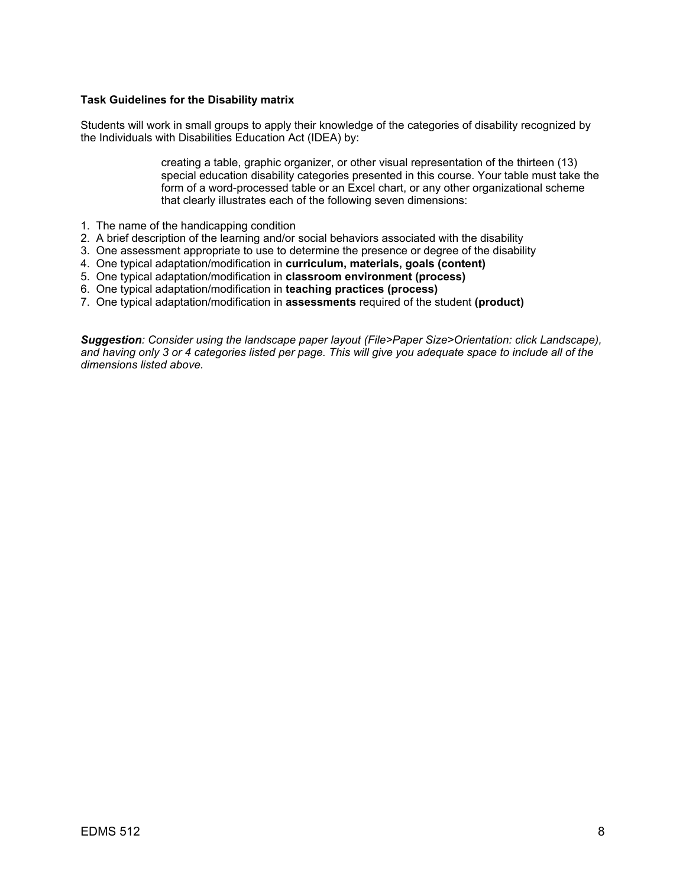### **Task Guidelines for the Disability matrix**

Students will work in small groups to apply their knowledge of the categories of disability recognized by the Individuals with Disabilities Education Act (IDEA) by:

> creating a table, graphic organizer, or other visual representation of the thirteen (13) special education disability categories presented in this course. Your table must take the form of a word-processed table or an Excel chart, or any other organizational scheme that clearly illustrates each of the following seven dimensions:

- 1. The name of the handicapping condition
- 2. A brief description of the learning and/or social behaviors associated with the disability
- 3. One assessment appropriate to use to determine the presence or degree of the disability
- 4. One typical adaptation/modification in **curriculum, materials, goals (content)**
- 5. One typical adaptation/modification in **classroom environment (process)**
- 6. One typical adaptation/modification in **teaching practices (process)**
- 7. One typical adaptation/modification in **assessments** required of the student **(product)**

*Suggestion: Consider using the landscape paper layout (File>Paper Size>Orientation: click Landscape), and having only 3 or 4 categories listed per page. This will give you adequate space to include all of the dimensions listed above.*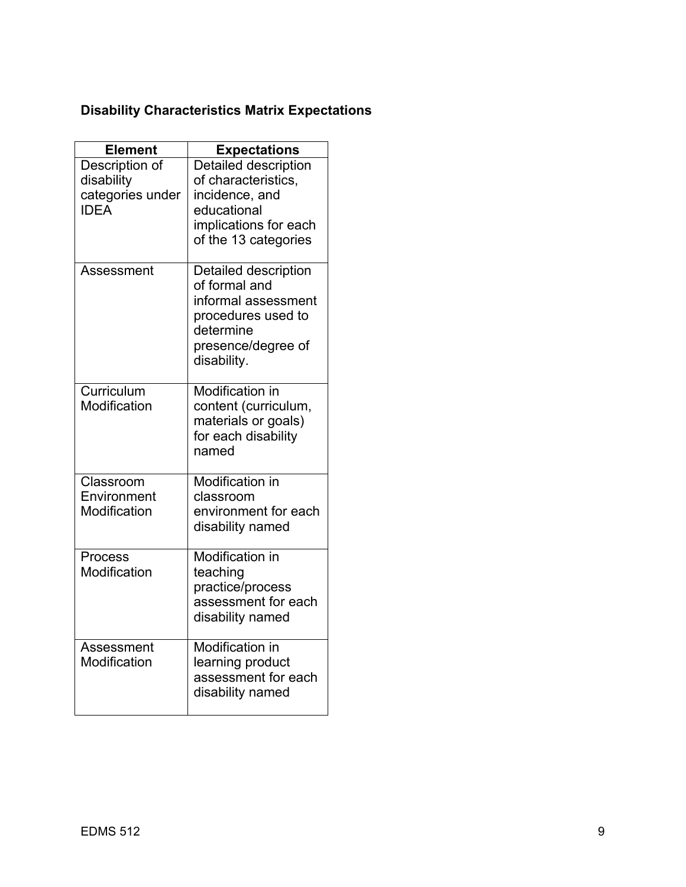# **Disability Characteristics Matrix Expectations**

| <b>Element</b>                                                  | <b>Expectations</b>                                                                                                                  |
|-----------------------------------------------------------------|--------------------------------------------------------------------------------------------------------------------------------------|
| Description of<br>disability<br>categories under<br><b>IDEA</b> | Detailed description<br>of characteristics,<br>incidence, and<br>educational<br>implications for each<br>of the 13 categories        |
| Assessment                                                      | Detailed description<br>of formal and<br>informal assessment<br>procedures used to<br>determine<br>presence/degree of<br>disability. |
| Curriculum<br>Modification                                      | <b>Modification in</b><br>content (curriculum,<br>materials or goals)<br>for each disability<br>named                                |
| Classroom<br>Environment<br>Modification                        | <b>Modification in</b><br>classroom<br>environment for each<br>disability named                                                      |
| Process<br>Modification                                         | Modification in<br>teaching<br>practice/process<br>assessment for each<br>disability named                                           |
| Assessment<br>Modification                                      | Modification in<br>learning product<br>assessment for each<br>disability named                                                       |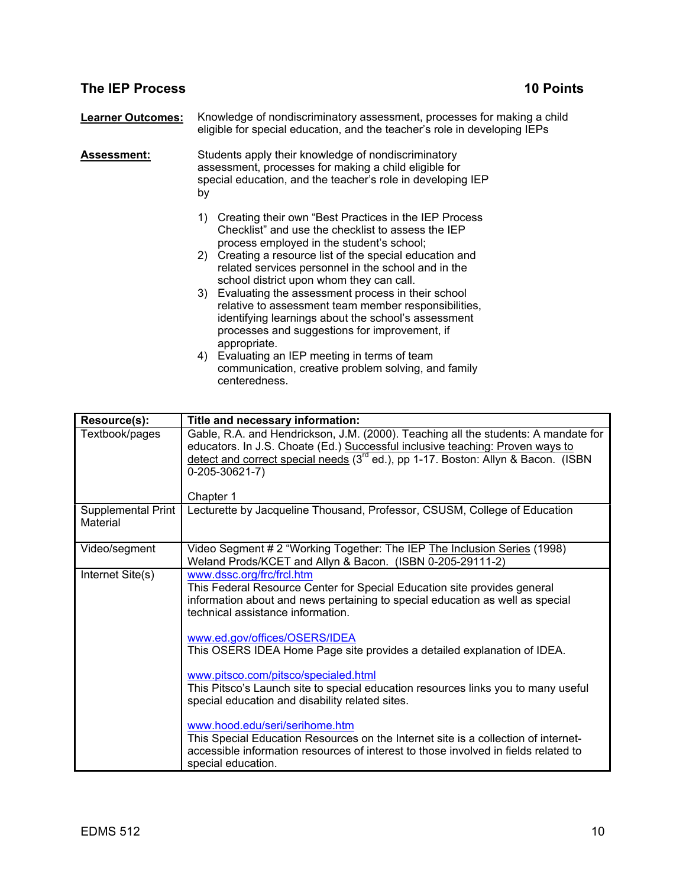## **The IEP Process 20 Points in the IEP Process 20 Points 10 Points**

**Learner Outcomes:** Knowledge of nondiscriminatory assessment, processes for making a child eligible for special education, and the teacher's role in developing IEPs

**Assessment:** Students apply their knowledge of nondiscriminatory assessment, processes for making a child eligible for special education, and the teacher's role in developing IEP by

- 1) Creating their own "Best Practices in the IEP Process Checklist" and use the checklist to assess the IEP process employed in the student's school;
- 2) Creating a resource list of the special education and related services personnel in the school and in the school district upon whom they can call.
- 3) Evaluating the assessment process in their school relative to assessment team member responsibilities, identifying learnings about the school's assessment processes and suggestions for improvement, if appropriate.
- 4) Evaluating an IEP meeting in terms of team communication, creative problem solving, and family centeredness.

| Resource(s):                   | Title and necessary information:                                                                                                                                                                                                                                                                      |
|--------------------------------|-------------------------------------------------------------------------------------------------------------------------------------------------------------------------------------------------------------------------------------------------------------------------------------------------------|
| Textbook/pages                 | Gable, R.A. and Hendrickson, J.M. (2000). Teaching all the students: A mandate for<br>educators. In J.S. Choate (Ed.) Successful inclusive teaching: Proven ways to<br>detect and correct special needs (3 <sup>rd</sup> ed.), pp 1-17. Boston: Allyn & Bacon. (ISBN<br>$0-205-30621-7)$<br>Chapter 1 |
| Supplemental Print<br>Material | Lecturette by Jacqueline Thousand, Professor, CSUSM, College of Education                                                                                                                                                                                                                             |
| Video/segment                  | Video Segment # 2 "Working Together: The IEP The Inclusion Series (1998)<br>Weland Prods/KCET and Allyn & Bacon. (ISBN 0-205-29111-2)                                                                                                                                                                 |
| Internet Site(s)               | www.dssc.org/frc/frcl.htm<br>This Federal Resource Center for Special Education site provides general<br>information about and news pertaining to special education as well as special<br>technical assistance information.                                                                           |
|                                | www.ed.gov/offices/OSERS/IDEA<br>This OSERS IDEA Home Page site provides a detailed explanation of IDEA.                                                                                                                                                                                              |
|                                | www.pitsco.com/pitsco/specialed.html<br>This Pitsco's Launch site to special education resources links you to many useful<br>special education and disability related sites.                                                                                                                          |
|                                | www.hood.edu/seri/serihome.htm<br>This Special Education Resources on the Internet site is a collection of internet-<br>accessible information resources of interest to those involved in fields related to<br>special education.                                                                     |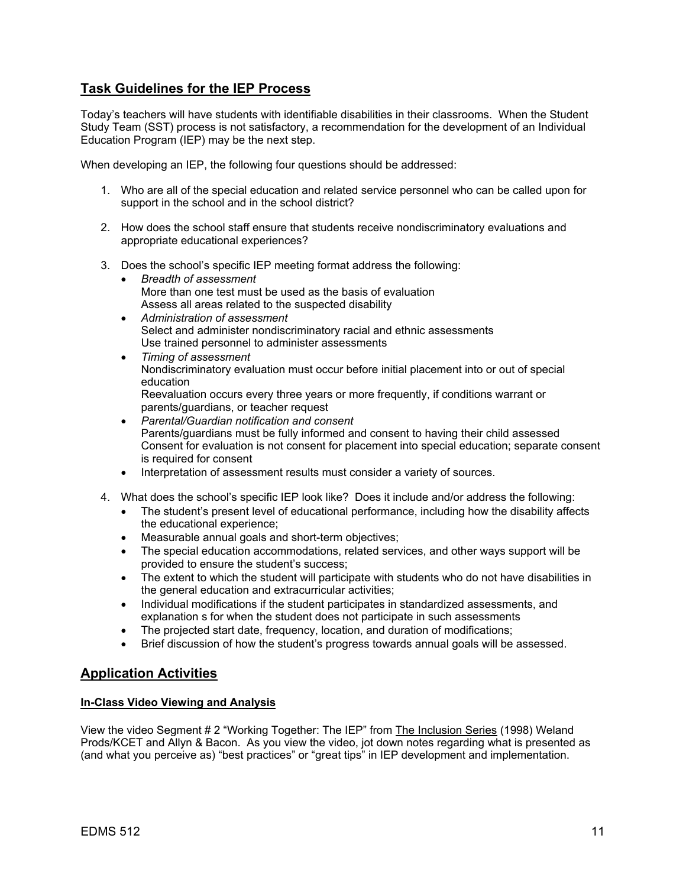## **Task Guidelines for the IEP Process**

Today's teachers will have students with identifiable disabilities in their classrooms. When the Student Study Team (SST) process is not satisfactory, a recommendation for the development of an Individual Education Program (IEP) may be the next step.

When developing an IEP, the following four questions should be addressed:

- 1. Who are all of the special education and related service personnel who can be called upon for support in the school and in the school district?
- 2. How does the school staff ensure that students receive nondiscriminatory evaluations and appropriate educational experiences?
- 3. Does the school's specific IEP meeting format address the following:
	- *Breadth of assessment*  More than one test must be used as the basis of evaluation Assess all areas related to the suspected disability
	- *Administration of assessment*  Select and administer nondiscriminatory racial and ethnic assessments Use trained personnel to administer assessments
	- *Timing of assessment*  Nondiscriminatory evaluation must occur before initial placement into or out of special education Reevaluation occurs every three years or more frequently, if conditions warrant or parents/guardians, or teacher request
	- *Parental/Guardian notification and consent*  Parents/guardians must be fully informed and consent to having their child assessed Consent for evaluation is not consent for placement into special education; separate consent is required for consent
	- Interpretation of assessment results must consider a variety of sources.
- 4. What does the school's specific IEP look like? Does it include and/or address the following:
	- The student's present level of educational performance, including how the disability affects the educational experience;
	- Measurable annual goals and short-term objectives;
	- The special education accommodations, related services, and other ways support will be provided to ensure the student's success;
	- The extent to which the student will participate with students who do not have disabilities in the general education and extracurricular activities;
	- Individual modifications if the student participates in standardized assessments, and explanation s for when the student does not participate in such assessments
	- The projected start date, frequency, location, and duration of modifications;
	- Brief discussion of how the student's progress towards annual goals will be assessed.

## **Application Activities**

## **In-Class Video Viewing and Analysis**

View the video Segment # 2 "Working Together: The IEP" from The Inclusion Series (1998) Weland Prods/KCET and Allyn & Bacon. As you view the video, jot down notes regarding what is presented as (and what you perceive as) "best practices" or "great tips" in IEP development and implementation.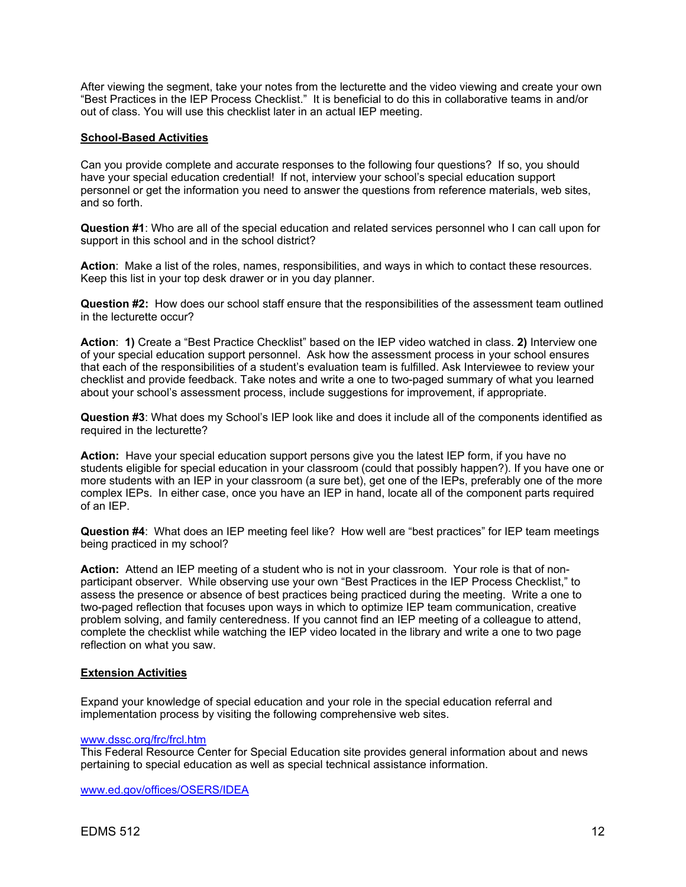After viewing the segment, take your notes from the lecturette and the video viewing and create your own "Best Practices in the IEP Process Checklist." It is beneficial to do this in collaborative teams in and/or out of class. You will use this checklist later in an actual IEP meeting.

### **School-Based Activities**

Can you provide complete and accurate responses to the following four questions? If so, you should have your special education credential! If not, interview your school's special education support personnel or get the information you need to answer the questions from reference materials, web sites, and so forth.

**Question #1**: Who are all of the special education and related services personnel who I can call upon for support in this school and in the school district?

**Action**: Make a list of the roles, names, responsibilities, and ways in which to contact these resources. Keep this list in your top desk drawer or in you day planner.

**Question #2:** How does our school staff ensure that the responsibilities of the assessment team outlined in the lecturette occur?

**Action**: **1)** Create a "Best Practice Checklist" based on the IEP video watched in class. **2)** Interview one of your special education support personnel. Ask how the assessment process in your school ensures that each of the responsibilities of a student's evaluation team is fulfilled. Ask Interviewee to review your checklist and provide feedback. Take notes and write a one to two-paged summary of what you learned about your school's assessment process, include suggestions for improvement, if appropriate.

**Question #3**: What does my School's IEP look like and does it include all of the components identified as required in the lecturette?

**Action:** Have your special education support persons give you the latest IEP form, if you have no students eligible for special education in your classroom (could that possibly happen?). If you have one or more students with an IEP in your classroom (a sure bet), get one of the IEPs, preferably one of the more complex IEPs. In either case, once you have an IEP in hand, locate all of the component parts required of an IEP.

**Question #4**: What does an IEP meeting feel like? How well are "best practices" for IEP team meetings being practiced in my school?

**Action:** Attend an IEP meeting of a student who is not in your classroom. Your role is that of nonparticipant observer. While observing use your own "Best Practices in the IEP Process Checklist," to assess the presence or absence of best practices being practiced during the meeting. Write a one to two-paged reflection that focuses upon ways in which to optimize IEP team communication, creative problem solving, and family centeredness. If you cannot find an IEP meeting of a colleague to attend, complete the checklist while watching the IEP video located in the library and write a one to two page reflection on what you saw.

#### **Extension Activities**

Expand your knowledge of special education and your role in the special education referral and implementation process by visiting the following comprehensive web sites.

## www.dssc.org/frc/frcl.htm

This Federal Resource Center for Special Education site provides general information about and news pertaining to special education as well as special technical assistance information.

www.ed.gov/offices/OSERS/IDEA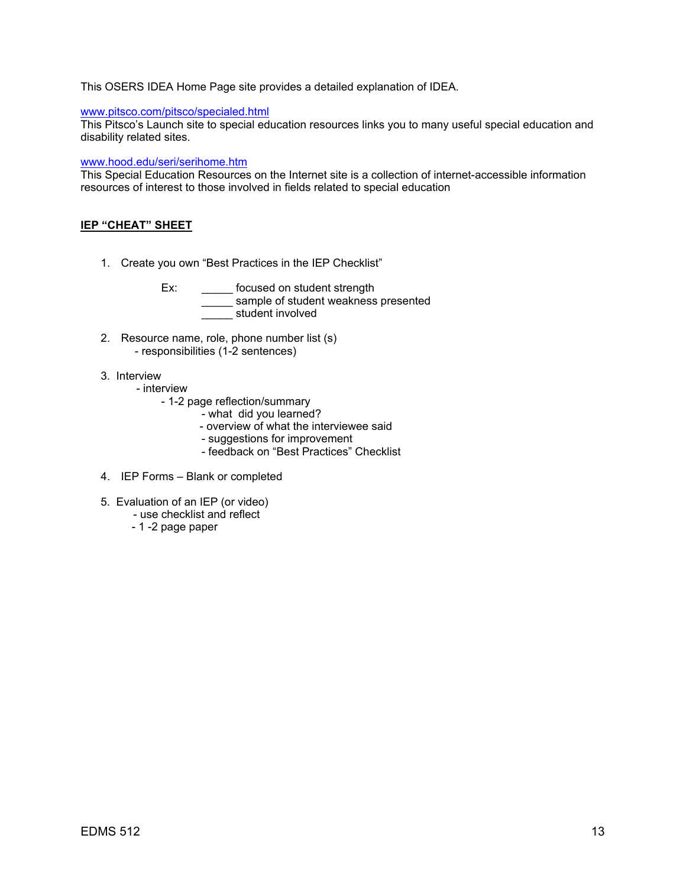### This OSERS IDEA Home Page site provides a detailed explanation of IDEA.

## www.pitsco.com/pitsco/specialed.html

This Pitsco's Launch site to special education resources links you to many useful special education and disability related sites.

### www.hood.edu/seri/serihome.htm

This Special Education Resources on the Internet site is a collection of internet-accessible information resources of interest to those involved in fields related to special education

### **IEP "CHEAT" SHEET**

1. Create you own "Best Practices in the IEP Checklist"

Ex: \_\_\_\_\_\_\_ focused on student strength \_\_\_\_\_ sample of student weakness presented \_\_\_\_\_ student involved

- 2. Resource name, role, phone number list (s) - responsibilities (1-2 sentences)
- 3. Interview
	- interview
		- 1-2 page reflection/summary
			- what did you learned?
			- overview of what the interviewee said
			- suggestions for improvement
			- feedback on "Best Practices" Checklist
- 4. IEP Forms Blank or completed
- 5. Evaluation of an IEP (or video)
	- use checklist and reflect
	- 1 -2 page paper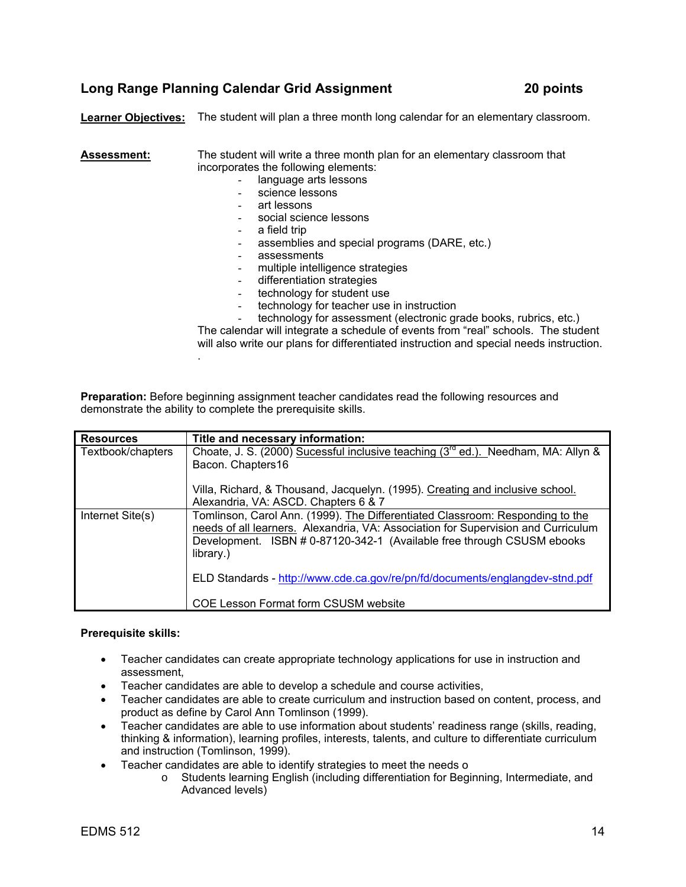## **Long Range Planning Calendar Grid Assignment 20 points**

**Learner Objectives:** The student will plan a three month long calendar for an elementary classroom.

**Assessment:** The student will write a three month plan for an elementary classroom that incorporates the following elements:

- language arts lessons
- science lessons
- art lessons
- social science lessons
- a field trip
- assemblies and special programs (DARE, etc.)
- assessments
- multiple intelligence strategies
- differentiation strategies
- technology for student use
- technology for teacher use in instruction

technology for assessment (electronic grade books, rubrics, etc.)

The calendar will integrate a schedule of events from "real" schools. The student will also write our plans for differentiated instruction and special needs instruction. .

**Preparation:** Before beginning assignment teacher candidates read the following resources and demonstrate the ability to complete the prerequisite skills.

| <b>Resources</b>  | Title and necessary information:                                                        |
|-------------------|-----------------------------------------------------------------------------------------|
| Textbook/chapters | Choate, J. S. (2000) Sucessful inclusive teaching ( $3^{rd}$ ed.). Needham, MA: Allyn & |
|                   | Bacon. Chapters16                                                                       |
|                   | Villa, Richard, & Thousand, Jacquelyn. (1995). Creating and inclusive school.           |
|                   | Alexandria, VA: ASCD. Chapters 6 & 7                                                    |
| Internet Site(s)  | Tomlinson, Carol Ann. (1999). The Differentiated Classroom: Responding to the           |
|                   | needs of all learners. Alexandria, VA: Association for Supervision and Curriculum       |
|                   | Development. ISBN # 0-87120-342-1 (Available free through CSUSM ebooks                  |
|                   | library.)                                                                               |
|                   | ELD Standards - http://www.cde.ca.gov/re/pn/fd/documents/englangdev-stnd.pdf            |
|                   | COE Lesson Format form CSUSM website                                                    |

#### **Prerequisite skills:**

- Teacher candidates can create appropriate technology applications for use in instruction and assessment,
- Teacher candidates are able to develop a schedule and course activities,
- Teacher candidates are able to create curriculum and instruction based on content, process, and product as define by Carol Ann Tomlinson (1999).
- Teacher candidates are able to use information about students' readiness range (skills, reading, thinking & information), learning profiles, interests, talents, and culture to differentiate curriculum and instruction (Tomlinson, 1999).
- Teacher candidates are able to identify strategies to meet the needs o
	- o Students learning English (including differentiation for Beginning, Intermediate, and Advanced levels)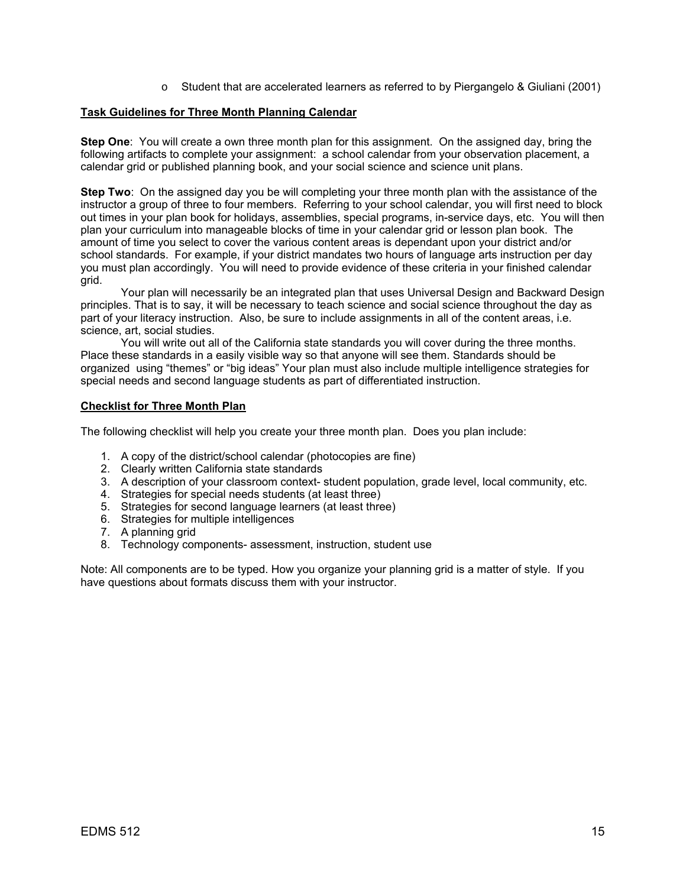o Student that are accelerated learners as referred to by Piergangelo & Giuliani (2001)

### **Task Guidelines for Three Month Planning Calendar**

**Step One**: You will create a own three month plan for this assignment. On the assigned day, bring the following artifacts to complete your assignment: a school calendar from your observation placement, a calendar grid or published planning book, and your social science and science unit plans.

**Step Two**: On the assigned day you be will completing your three month plan with the assistance of the instructor a group of three to four members. Referring to your school calendar, you will first need to block out times in your plan book for holidays, assemblies, special programs, in-service days, etc. You will then plan your curriculum into manageable blocks of time in your calendar grid or lesson plan book. The amount of time you select to cover the various content areas is dependant upon your district and/or school standards. For example, if your district mandates two hours of language arts instruction per day you must plan accordingly. You will need to provide evidence of these criteria in your finished calendar grid.

 Your plan will necessarily be an integrated plan that uses Universal Design and Backward Design principles. That is to say, it will be necessary to teach science and social science throughout the day as part of your literacy instruction. Also, be sure to include assignments in all of the content areas, i.e. science, art, social studies.

 You will write out all of the California state standards you will cover during the three months. Place these standards in a easily visible way so that anyone will see them. Standards should be organized using "themes" or "big ideas" Your plan must also include multiple intelligence strategies for special needs and second language students as part of differentiated instruction.

## **Checklist for Three Month Plan**

The following checklist will help you create your three month plan. Does you plan include:

- 1. A copy of the district/school calendar (photocopies are fine)
- 2. Clearly written California state standards
- 3. A description of your classroom context- student population, grade level, local community, etc.
- 4. Strategies for special needs students (at least three)
- 5. Strategies for second language learners (at least three)
- 6. Strategies for multiple intelligences
- 7. A planning grid
- 8. Technology components- assessment, instruction, student use

Note: All components are to be typed. How you organize your planning grid is a matter of style. If you have questions about formats discuss them with your instructor.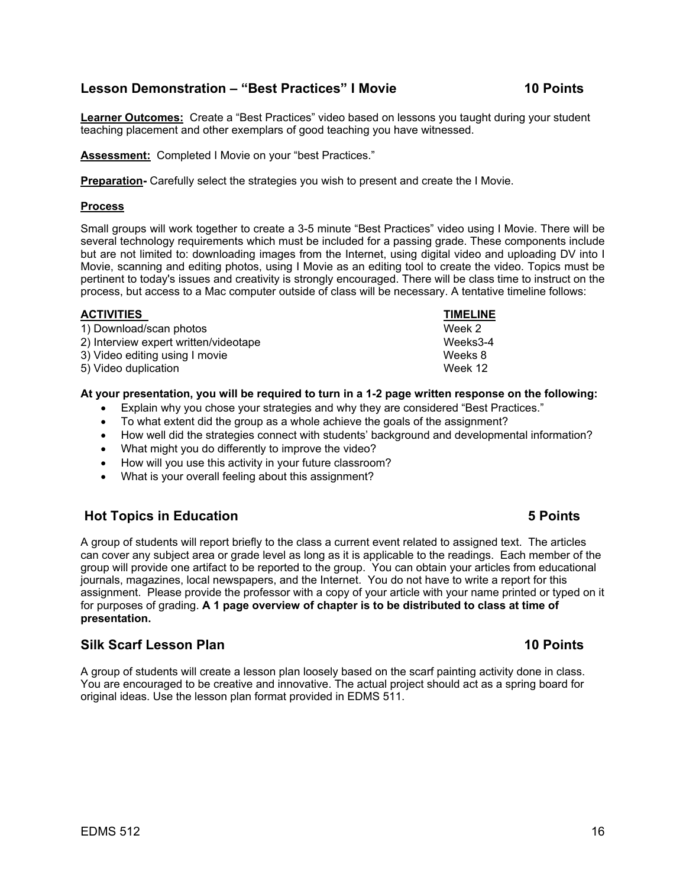## $EDMS 512$  and  $16$

## **Lesson Demonstration – "Best Practices" I Movie 10 Points**

**Learner Outcomes:** Create a "Best Practices" video based on lessons you taught during your student teaching placement and other exemplars of good teaching you have witnessed.

**Assessment:** Completed I Movie on your "best Practices."

**Preparation-** Carefully select the strategies you wish to present and create the I Movie.

### **Process**

Small groups will work together to create a 3-5 minute "Best Practices" video using I Movie. There will be several technology requirements which must be included for a passing grade. These components include but are not limited to: downloading images from the Internet, using digital video and uploading DV into I Movie, scanning and editing photos, using I Movie as an editing tool to create the video. Topics must be pertinent to today's issues and creativity is strongly encouraged. There will be class time to instruct on the process, but access to a Mac computer outside of class will be necessary. A tentative timeline follows:

| <b>TIMELINE</b> |
|-----------------|
| Week 2          |
| Weeks3-4        |
| Weeks 8         |
| Week 12         |
|                 |

## **At your presentation, you will be required to turn in a 1-2 page written response on the following:**

- Explain why you chose your strategies and why they are considered "Best Practices."
- To what extent did the group as a whole achieve the goals of the assignment?
- How well did the strategies connect with students' background and developmental information?
- What might you do differently to improve the video?
- How will you use this activity in your future classroom?
- What is your overall feeling about this assignment?

## **Hot Topics in Education 5 Points**

A group of students will report briefly to the class a current event related to assigned text. The articles can cover any subject area or grade level as long as it is applicable to the readings. Each member of the group will provide one artifact to be reported to the group. You can obtain your articles from educational journals, magazines, local newspapers, and the Internet. You do not have to write a report for this assignment. Please provide the professor with a copy of your article with your name printed or typed on it for purposes of grading. **A 1 page overview of chapter is to be distributed to class at time of presentation.** 

## **Silk Scarf Lesson Plan 10 Points**

A group of students will create a lesson plan loosely based on the scarf painting activity done in class. You are encouraged to be creative and innovative. The actual project should act as a spring board for original ideas. Use the lesson plan format provided in EDMS 511.